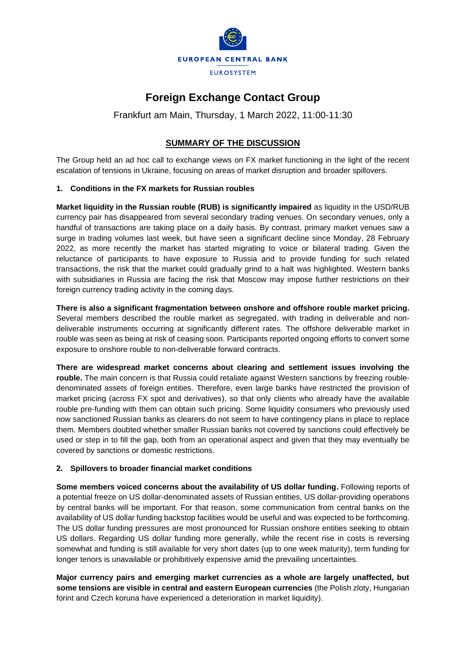

## **Foreign Exchange Contact Group**

Frankfurt am Main, Thursday, 1 March 2022, 11:00-11:30

## **SUMMARY OF THE DISCUSSION**

The Group held an ad hoc call to exchange views on FX market functioning in the light of the recent escalation of tensions in Ukraine, focusing on areas of market disruption and broader spillovers.

## **1. Conditions in the FX markets for Russian roubles**

**Market liquidity in the Russian rouble (RUB) is significantly impaired** as liquidity in the USD/RUB currency pair has disappeared from several secondary trading venues. On secondary venues, only a handful of transactions are taking place on a daily basis. By contrast, primary market venues saw a surge in trading volumes last week, but have seen a significant decline since Monday, 28 February 2022, as more recently the market has started migrating to voice or bilateral trading. Given the reluctance of participants to have exposure to Russia and to provide funding for such related transactions, the risk that the market could gradually grind to a halt was highlighted. Western banks with subsidiaries in Russia are facing the risk that Moscow may impose further restrictions on their foreign currency trading activity in the coming days.

**There is also a significant fragmentation between onshore and offshore rouble market pricing.** Several members described the rouble market as segregated, with trading in deliverable and nondeliverable instruments occurring at significantly different rates. The offshore deliverable market in rouble was seen as being at risk of ceasing soon. Participants reported ongoing efforts to convert some exposure to onshore rouble to non-deliverable forward contracts.

**There are widespread market concerns about clearing and settlement issues involving the**  rouble. The main concern is that Russia could retaliate against Western sanctions by freezing roubledenominated assets of foreign entities. Therefore, even large banks have restricted the provision of market pricing (across FX spot and derivatives), so that only clients who already have the available rouble pre-funding with them can obtain such pricing. Some liquidity consumers who previously used now sanctioned Russian banks as clearers do not seem to have contingency plans in place to replace them. Members doubted whether smaller Russian banks not covered by sanctions could effectively be used or step in to fill the gap, both from an operational aspect and given that they may eventually be covered by sanctions or domestic restrictions.

## **2. Spillovers to broader financial market conditions**

**Some members voiced concerns about the availability of US dollar funding.** Following reports of a potential freeze on US dollar-denominated assets of Russian entities, US dollar-providing operations by central banks will be important. For that reason, some communication from central banks on the availability of US dollar funding backstop facilities would be useful and was expected to be forthcoming. The US dollar funding pressures are most pronounced for Russian onshore entities seeking to obtain US dollars. Regarding US dollar funding more generally, while the recent rise in costs is reversing somewhat and funding is still available for very short dates (up to one week maturity), term funding for longer tenors is unavailable or prohibitively expensive amid the prevailing uncertainties.

**Major currency pairs and emerging market currencies as a whole are largely unaffected, but some tensions are visible in central and eastern European currencies** (the Polish zloty, Hungarian forint and Czech koruna have experienced a deterioration in market liquidity).